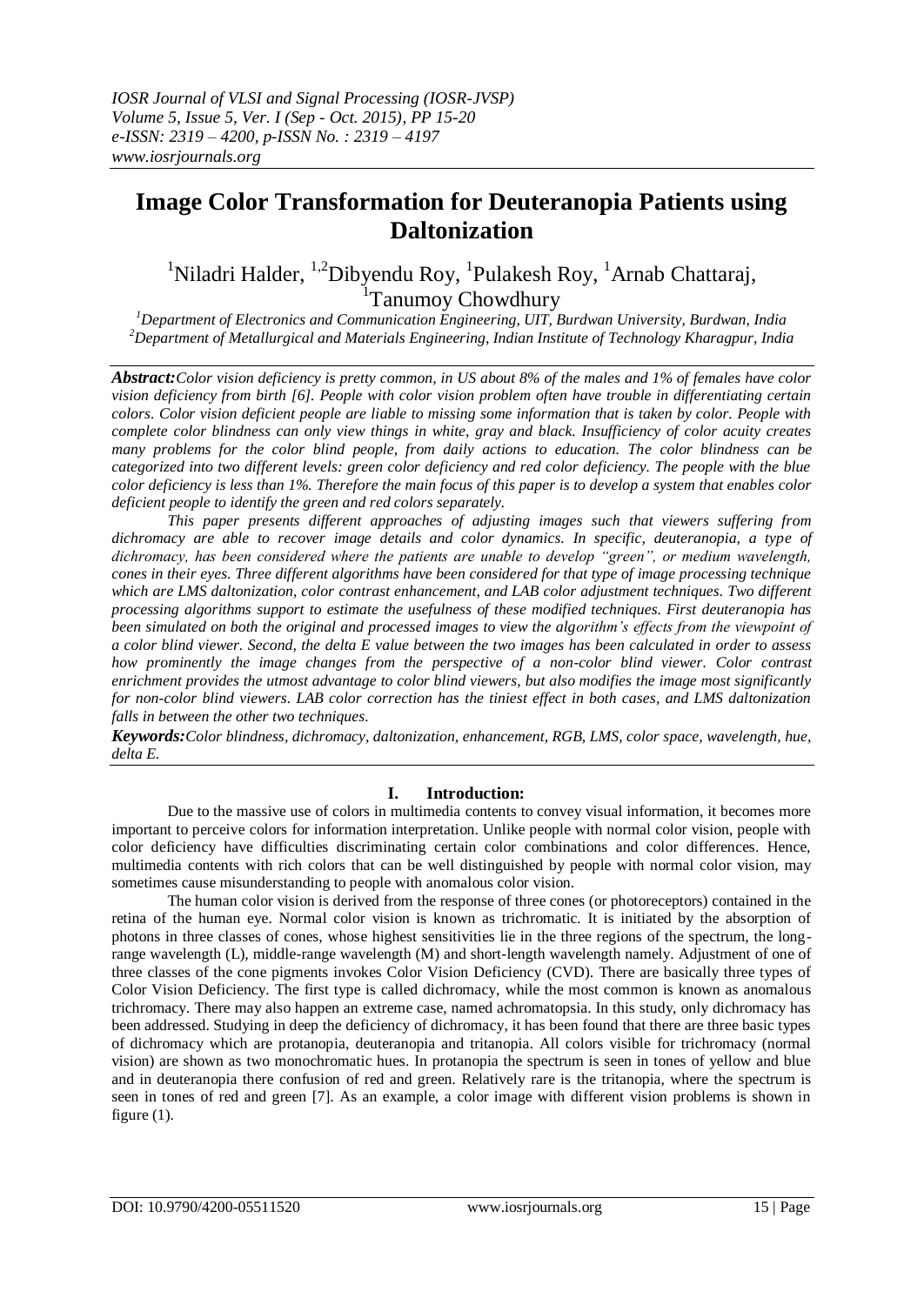# **Image Color Transformation for Deuteranopia Patients using Daltonization**

<sup>1</sup>Niladri Halder, <sup>1,2</sup>Dibyendu Roy, <sup>1</sup>Pulakesh Roy, <sup>1</sup>Arnab Chattaraj, <sup>1</sup>Tanumoy Chowdhury

*<sup>1</sup>Department of Electronics and Communication Engineering, UIT, Burdwan University, Burdwan, India <sup>2</sup>Department of Metallurgical and Materials Engineering, Indian Institute of Technology Kharagpur, India*

*Abstract:Color vision deficiency is pretty common, in US about 8% of the males and 1% of females have color vision deficiency from birth [6]. People with color vision problem often have trouble in differentiating certain colors. Color vision deficient people are liable to missing some information that is taken by color. People with complete color blindness can only view things in white, gray and black. Insufficiency of color acuity creates many problems for the color blind people, from daily actions to education. The color blindness can be categorized into two different levels: green color deficiency and red color deficiency. The people with the blue color deficiency is less than 1%. Therefore the main focus of this paper is to develop a system that enables color deficient people to identify the green and red colors separately.* 

*This paper presents different approaches of adjusting images such that viewers suffering from dichromacy are able to recover image details and color dynamics. In specific, deuteranopia, a type of dichromacy, has been considered where the patients are unable to develop "green", or medium wavelength, cones in their eyes. Three different algorithms have been considered for that type of image processing technique which are LMS daltonization, color contrast enhancement, and LAB color adjustment techniques. Two different processing algorithms support to estimate the usefulness of these modified techniques. First deuteranopia has been simulated on both the original and processed images to view the algorithm's effects from the viewpoint of a color blind viewer. Second, the delta E value between the two images has been calculated in order to assess how prominently the image changes from the perspective of a non-color blind viewer. Color contrast enrichment provides the utmost advantage to color blind viewers, but also modifies the image most significantly for non-color blind viewers. LAB color correction has the tiniest effect in both cases, and LMS daltonization falls in between the other two techniques.*

*Keywords:Color blindness, dichromacy, daltonization, enhancement, RGB, LMS, color space, wavelength, hue, delta E.*

# **I. Introduction:**

Due to the massive use of colors in multimedia contents to convey visual information, it becomes more important to perceive colors for information interpretation. Unlike people with normal color vision, people with color deficiency have difficulties discriminating certain color combinations and color differences. Hence, multimedia contents with rich colors that can be well distinguished by people with normal color vision, may sometimes cause misunderstanding to people with anomalous color vision.

The human color vision is derived from the response of three cones (or photoreceptors) contained in the retina of the human eye. Normal color vision is known as trichromatic. It is initiated by the absorption of photons in three classes of cones, whose highest sensitivities lie in the three regions of the spectrum, the longrange wavelength (L), middle-range wavelength (M) and short-length wavelength namely. Adjustment of one of three classes of the cone pigments invokes Color Vision Deficiency (CVD). There are basically three types of Color Vision Deficiency. The first type is called dichromacy, while the most common is known as anomalous trichromacy. There may also happen an extreme case, named achromatopsia. In this study, only dichromacy has been addressed. Studying in deep the deficiency of dichromacy, it has been found that there are three basic types of dichromacy which are protanopia, deuteranopia and tritanopia. All colors visible for trichromacy (normal vision) are shown as two monochromatic hues. In protanopia the spectrum is seen in tones of yellow and blue and in deuteranopia there confusion of red and green. Relatively rare is the tritanopia, where the spectrum is seen in tones of red and green [7]. As an example, a color image with different vision problems is shown in figure  $(1)$ .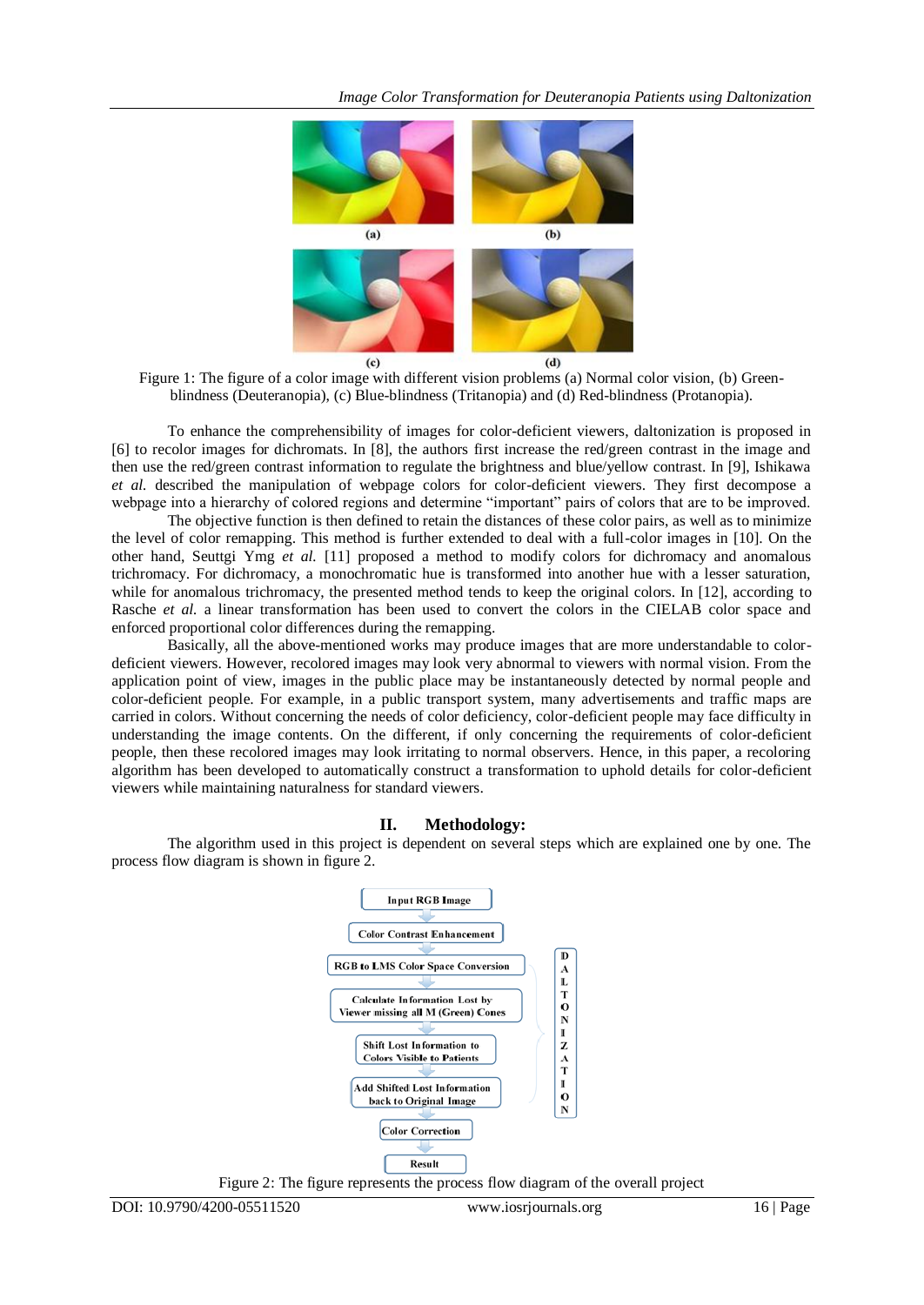

Figure 1: The figure of a color image with different vision problems (a) Normal color vision, (b) Greenblindness (Deuteranopia), (c) Blue-blindness (Tritanopia) and (d) Red-blindness (Protanopia).

To enhance the comprehensibility of images for color-deficient viewers, daltonization is proposed in [6] to recolor images for dichromats. In [8], the authors first increase the red/green contrast in the image and then use the red/green contrast information to regulate the brightness and blue/yellow contrast. In [9], Ishikawa *et al.* described the manipulation of webpage colors for color-deficient viewers. They first decompose a webpage into a hierarchy of colored regions and determine "important" pairs of colors that are to be improved.

The objective function is then defined to retain the distances of these color pairs, as well as to minimize the level of color remapping. This method is further extended to deal with a full-color images in [10]. On the other hand, Seuttgi Ymg *et al.* [11] proposed a method to modify colors for dichromacy and anomalous trichromacy. For dichromacy, a monochromatic hue is transformed into another hue with a lesser saturation, while for anomalous trichromacy, the presented method tends to keep the original colors. In [12], according to Rasche *et al.* a linear transformation has been used to convert the colors in the CIELAB color space and enforced proportional color differences during the remapping.

Basically, all the above-mentioned works may produce images that are more understandable to colordeficient viewers. However, recolored images may look very abnormal to viewers with normal vision. From the application point of view, images in the public place may be instantaneously detected by normal people and color-deficient people. For example, in a public transport system, many advertisements and traffic maps are carried in colors. Without concerning the needs of color deficiency, color-deficient people may face difficulty in understanding the image contents. On the different, if only concerning the requirements of color-deficient people, then these recolored images may look irritating to normal observers. Hence, in this paper, a recoloring algorithm has been developed to automatically construct a transformation to uphold details for color-deficient viewers while maintaining naturalness for standard viewers.

### **II. Methodology:**

The algorithm used in this project is dependent on several steps which are explained one by one. The process flow diagram is shown in figure 2.



Figure 2: The figure represents the process flow diagram of the overall project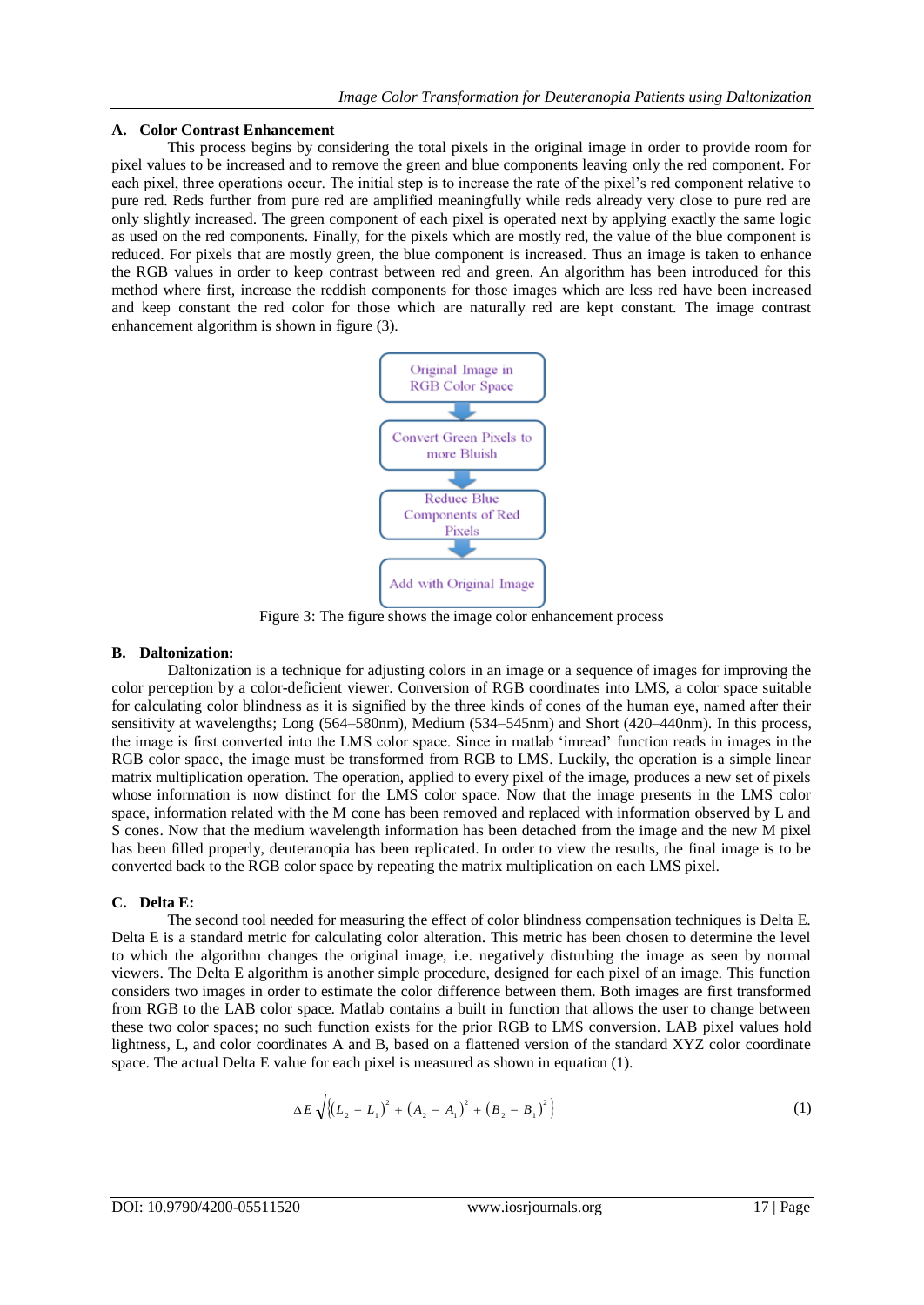#### **A. Color Contrast Enhancement**

This process begins by considering the total pixels in the original image in order to provide room for pixel values to be increased and to remove the green and blue components leaving only the red component. For each pixel, three operations occur. The initial step is to increase the rate of the pixel"s red component relative to pure red. Reds further from pure red are amplified meaningfully while reds already very close to pure red are only slightly increased. The green component of each pixel is operated next by applying exactly the same logic as used on the red components. Finally, for the pixels which are mostly red, the value of the blue component is reduced. For pixels that are mostly green, the blue component is increased. Thus an image is taken to enhance the RGB values in order to keep contrast between red and green. An algorithm has been introduced for this method where first, increase the reddish components for those images which are less red have been increased and keep constant the red color for those which are naturally red are kept constant. The image contrast enhancement algorithm is shown in figure (3).



Figure 3: The figure shows the image color enhancement process

### **B. Daltonization:**

Daltonization is a technique for adjusting colors in an image or a sequence of images for improving the color perception by a color-deficient viewer. Conversion of RGB coordinates into LMS, a color space suitable for calculating color blindness as it is signified by the three kinds of cones of the human eye, named after their sensitivity at wavelengths; Long (564–580nm), Medium (534–545nm) and Short (420–440nm). In this process, the image is first converted into the LMS color space. Since in matlab "imread" function reads in images in the RGB color space, the image must be transformed from RGB to LMS. Luckily, the operation is a simple linear matrix multiplication operation. The operation, applied to every pixel of the image, produces a new set of pixels whose information is now distinct for the LMS color space. Now that the image presents in the LMS color space, information related with the M cone has been removed and replaced with information observed by L and S cones. Now that the medium wavelength information has been detached from the image and the new M pixel has been filled properly, deuteranopia has been replicated. In order to view the results, the final image is to be converted back to the RGB color space by repeating the matrix multiplication on each LMS pixel.

### **C. Delta E:**

The second tool needed for measuring the effect of color blindness compensation techniques is Delta E. Delta E is a standard metric for calculating color alteration. This metric has been chosen to determine the level to which the algorithm changes the original image, i.e. negatively disturbing the image as seen by normal viewers. The Delta E algorithm is another simple procedure, designed for each pixel of an image. This function considers two images in order to estimate the color difference between them. Both images are first transformed from RGB to the LAB color space. Matlab contains a built in function that allows the user to change between these two color spaces; no such function exists for the prior RGB to LMS conversion. LAB pixel values hold lightness, L, and color coordinates A and B, based on a flattened version of the standard XYZ color coordinate space. The actual Delta E value for each pixel is measured as shown in equation (1).

$$
\Delta E \sqrt{\left\{ \left(L_2 - L_1\right)^2 + \left(A_2 - A_1\right)^2 + \left(B_2 - B_1\right)^2 \right\}}
$$
 (1)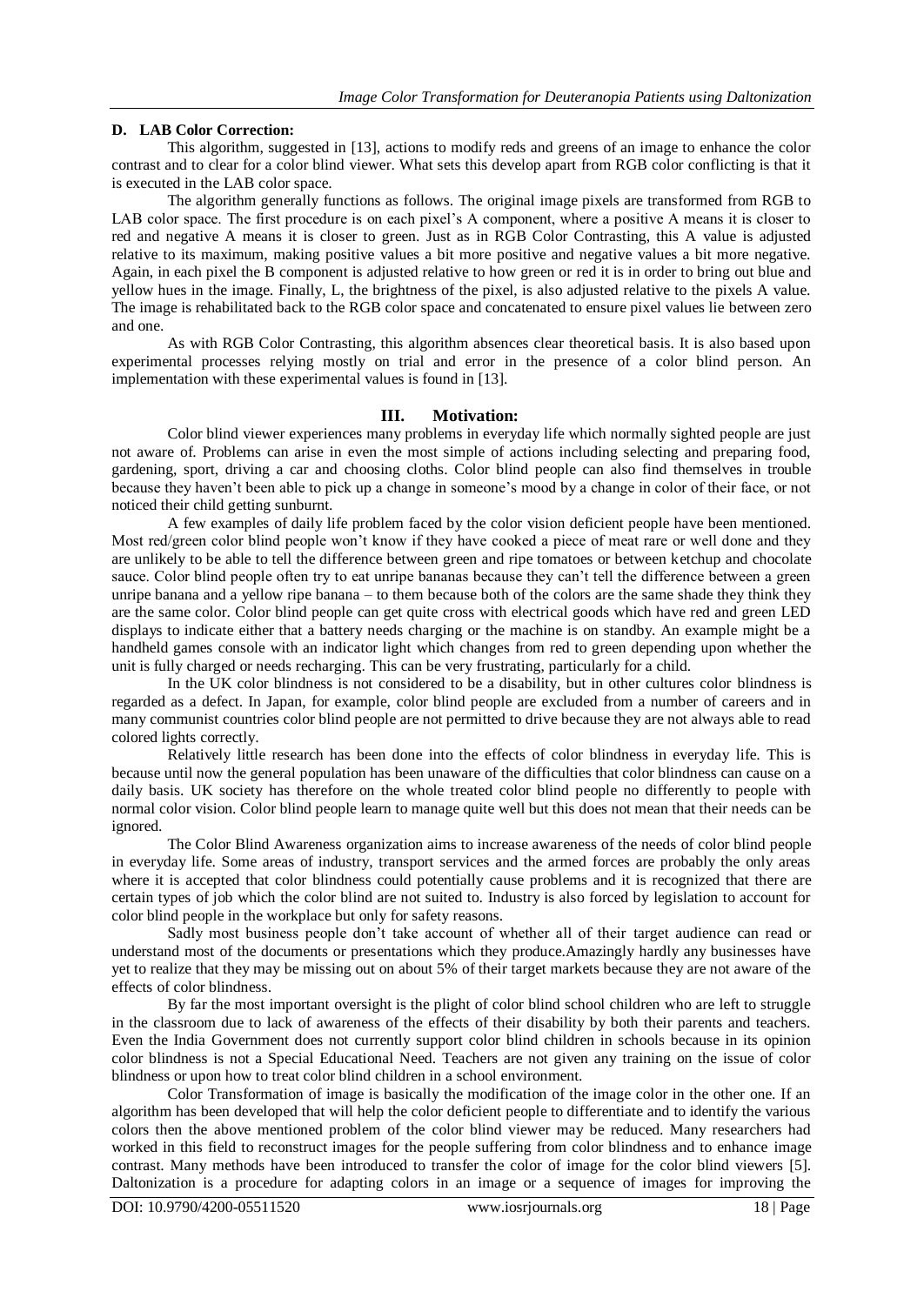### **D. LAB Color Correction:**

This algorithm, suggested in [13], actions to modify reds and greens of an image to enhance the color contrast and to clear for a color blind viewer. What sets this develop apart from RGB color conflicting is that it is executed in the LAB color space.

The algorithm generally functions as follows. The original image pixels are transformed from RGB to LAB color space. The first procedure is on each pixel's A component, where a positive A means it is closer to red and negative A means it is closer to green. Just as in RGB Color Contrasting, this A value is adjusted relative to its maximum, making positive values a bit more positive and negative values a bit more negative. Again, in each pixel the B component is adjusted relative to how green or red it is in order to bring out blue and yellow hues in the image. Finally, L, the brightness of the pixel, is also adjusted relative to the pixels A value. The image is rehabilitated back to the RGB color space and concatenated to ensure pixel values lie between zero and one.

As with RGB Color Contrasting, this algorithm absences clear theoretical basis. It is also based upon experimental processes relying mostly on trial and error in the presence of a color blind person. An implementation with these experimental values is found in [13].

# **III. Motivation:**

Color blind viewer experiences many problems in everyday life which normally sighted people are just not aware of. Problems can arise in even the most simple of actions including selecting and preparing food, gardening, sport, driving a car and choosing cloths. Color blind people can also find themselves in trouble because they haven"t been able to pick up a change in someone"s mood by a change in color of their face, or not noticed their child getting sunburnt.

A few examples of daily life problem faced by the color vision deficient people have been mentioned. Most red/green color blind people won"t know if they have cooked a piece of meat rare or well done and they are unlikely to be able to tell the difference between green and ripe tomatoes or between ketchup and chocolate sauce. Color blind people often try to eat unripe bananas because they can't tell the difference between a green unripe banana and a yellow ripe banana – to them because both of the colors are the same shade they think they are the same color. Color blind people can get quite cross with electrical goods which have red and green LED displays to indicate either that a battery needs charging or the machine is on standby. An example might be a handheld games console with an indicator light which changes from red to green depending upon whether the unit is fully charged or needs recharging. This can be very frustrating, particularly for a child.

In the UK color blindness is not considered to be a disability, but in other cultures color blindness is regarded as a defect. In Japan, for example, color blind people are excluded from a number of careers and in many communist countries color blind people are not permitted to drive because they are not always able to read colored lights correctly.

Relatively little research has been done into the effects of color blindness in everyday life. This is because until now the general population has been unaware of the difficulties that color blindness can cause on a daily basis. UK society has therefore on the whole treated color blind people no differently to people with normal color vision. Color blind people learn to manage quite well but this does not mean that their needs can be ignored.

The Color Blind Awareness organization aims to increase awareness of the needs of color blind people in everyday life. Some areas of industry, transport services and the armed forces are probably the only areas where it is accepted that color blindness could potentially cause problems and it is recognized that there are certain types of job which the color blind are not suited to. Industry is also forced by legislation to account for color blind people in the workplace but only for safety reasons.

Sadly most business people don't take account of whether all of their target audience can read or understand most of the documents or presentations which they produce.Amazingly hardly any businesses have yet to realize that they may be missing out on about 5% of their target markets because they are not aware of the effects of color blindness.

By far the most important oversight is the plight of color blind school children who are left to struggle in the classroom due to lack of awareness of the effects of their disability by both their parents and teachers. Even the India Government does not currently support color blind children in schools because in its opinion color blindness is not a Special Educational Need. Teachers are not given any training on the issue of color blindness or upon how to treat color blind children in a school environment.

Color Transformation of image is basically the modification of the image color in the other one. If an algorithm has been developed that will help the color deficient people to differentiate and to identify the various colors then the above mentioned problem of the color blind viewer may be reduced. Many researchers had worked in this field to reconstruct images for the people suffering from color blindness and to enhance image contrast. Many methods have been introduced to transfer the color of image for the color blind viewers [5]. Daltonization is a procedure for adapting colors in an image or a sequence of images for improving the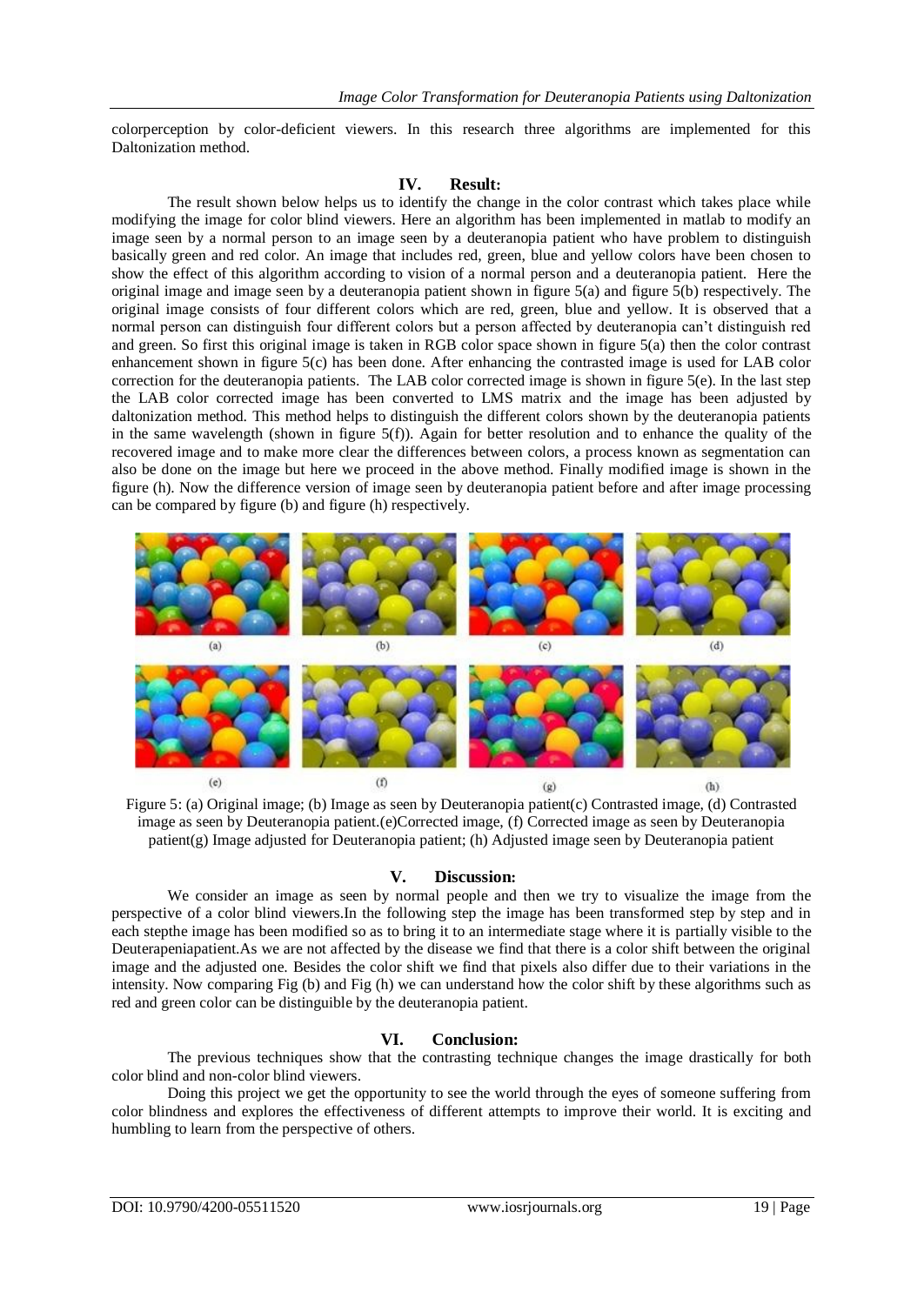colorperception by color-deficient viewers. In this research three algorithms are implemented for this Daltonization method.

# **IV. Result:**

The result shown below helps us to identify the change in the color contrast which takes place while modifying the image for color blind viewers. Here an algorithm has been implemented in matlab to modify an image seen by a normal person to an image seen by a deuteranopia patient who have problem to distinguish basically green and red color. An image that includes red, green, blue and yellow colors have been chosen to show the effect of this algorithm according to vision of a normal person and a deuteranopia patient. Here the original image and image seen by a deuteranopia patient shown in figure 5(a) and figure 5(b) respectively. The original image consists of four different colors which are red, green, blue and yellow. It is observed that a normal person can distinguish four different colors but a person affected by deuteranopia can"t distinguish red and green. So first this original image is taken in RGB color space shown in figure 5(a) then the color contrast enhancement shown in figure 5(c) has been done. After enhancing the contrasted image is used for LAB color correction for the deuteranopia patients. The LAB color corrected image is shown in figure 5(e). In the last step the LAB color corrected image has been converted to LMS matrix and the image has been adjusted by daltonization method. This method helps to distinguish the different colors shown by the deuteranopia patients in the same wavelength (shown in figure  $5(f)$ ). Again for better resolution and to enhance the quality of the recovered image and to make more clear the differences between colors, a process known as segmentation can also be done on the image but here we proceed in the above method. Finally modified image is shown in the figure (h). Now the difference version of image seen by deuteranopia patient before and after image processing can be compared by figure (b) and figure (h) respectively.



Figure 5: (a) Original image; (b) Image as seen by Deuteranopia patient(c) Contrasted image, (d) Contrasted image as seen by Deuteranopia patient.(e)Corrected image, (f) Corrected image as seen by Deuteranopia patient(g) Image adjusted for Deuteranopia patient; (h) Adjusted image seen by Deuteranopia patient

# **V. Discussion:**

We consider an image as seen by normal people and then we try to visualize the image from the perspective of a color blind viewers.In the following step the image has been transformed step by step and in each stepthe image has been modified so as to bring it to an intermediate stage where it is partially visible to the Deuterapeniapatient.As we are not affected by the disease we find that there is a color shift between the original image and the adjusted one. Besides the color shift we find that pixels also differ due to their variations in the intensity. Now comparing Fig (b) and Fig (h) we can understand how the color shift by these algorithms such as red and green color can be distinguible by the deuteranopia patient.

# **VI. Conclusion:**

The previous techniques show that the contrasting technique changes the image drastically for both color blind and non-color blind viewers.

Doing this project we get the opportunity to see the world through the eyes of someone suffering from color blindness and explores the effectiveness of different attempts to improve their world. It is exciting and humbling to learn from the perspective of others.